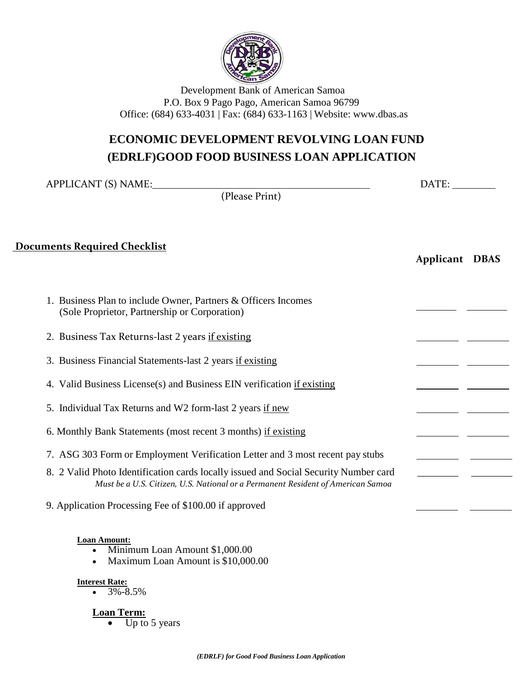

# **ECONOMIC DEVELOPMENT REVOLVING LOAN FUND (EDRLF)GOOD FOOD BUSINESS LOAN APPLICATION**

| APPLICANT (S) NAME:                                                                                                                                                     |                | DATE: |  |  |
|-------------------------------------------------------------------------------------------------------------------------------------------------------------------------|----------------|-------|--|--|
| (Please Print)                                                                                                                                                          |                |       |  |  |
| <u>Documents Required Checklist</u>                                                                                                                                     | Applicant DBAS |       |  |  |
| 1. Business Plan to include Owner, Partners & Officers Incomes<br>(Sole Proprietor, Partnership or Corporation)                                                         |                |       |  |  |
| 2. Business Tax Returns-last 2 years if existing                                                                                                                        |                |       |  |  |
| 3. Business Financial Statements-last 2 years if existing                                                                                                               |                |       |  |  |
| 4. Valid Business License(s) and Business EIN verification if existing                                                                                                  |                |       |  |  |
| 5. Individual Tax Returns and W2 form-last 2 years if new                                                                                                               |                |       |  |  |
| 6. Monthly Bank Statements (most recent 3 months) if existing                                                                                                           |                |       |  |  |
| 7. ASG 303 Form or Employment Verification Letter and 3 most recent pay stubs                                                                                           |                |       |  |  |
| 8. 2 Valid Photo Identification cards locally issued and Social Security Number card<br>Must be a U.S. Citizen, U.S. National or a Permanent Resident of American Samoa |                |       |  |  |
| 9. Application Processing Fee of \$100.00 if approved                                                                                                                   |                |       |  |  |

**Interest Rate:**  $-3\% -8.5\%$ 

**Loan Term:**

 $\overline{\text{Up to 5 years}}$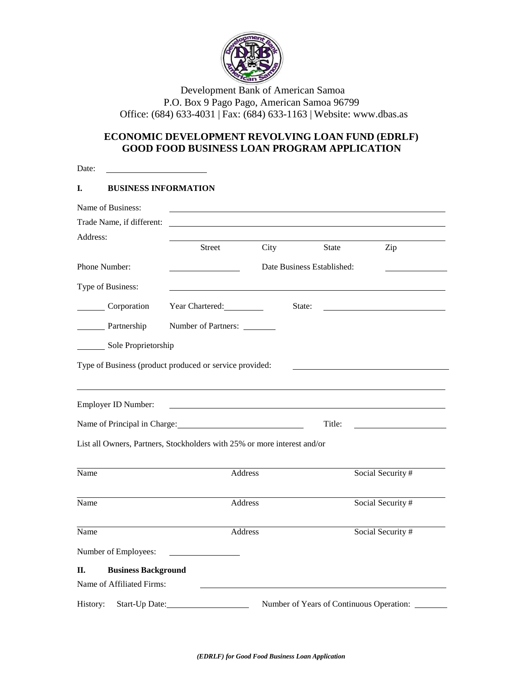

# **ECONOMIC DEVELOPMENT REVOLVING LOAN FUND (EDRLF) GOOD FOOD BUSINESS LOAN PROGRAM APPLICATION**

| Date:                                                                    |                     |      |                                          |                   |
|--------------------------------------------------------------------------|---------------------|------|------------------------------------------|-------------------|
| <b>BUSINESS INFORMATION</b><br>I.                                        |                     |      |                                          |                   |
| Name of Business:                                                        |                     |      |                                          |                   |
| Trade Name, if different:                                                |                     |      |                                          |                   |
| Address:                                                                 |                     |      |                                          |                   |
|                                                                          | <b>Street</b>       | City | <b>State</b>                             | Zip               |
| Phone Number:                                                            |                     |      | Date Business Established:               |                   |
| Type of Business:                                                        |                     |      |                                          |                   |
| Corporation                                                              | Year Chartered:     |      | State:                                   |                   |
| Partnership                                                              | Number of Partners: |      |                                          |                   |
| Sole Proprietorship                                                      |                     |      |                                          |                   |
|                                                                          |                     |      |                                          |                   |
| Type of Business (product produced or service provided:                  |                     |      |                                          |                   |
|                                                                          |                     |      |                                          |                   |
| Employer ID Number:                                                      |                     |      |                                          |                   |
| Name of Principal in Charge: 1988                                        |                     |      | Title:                                   |                   |
| List all Owners, Partners, Stockholders with 25% or more interest and/or |                     |      |                                          |                   |
|                                                                          |                     |      |                                          |                   |
| Name                                                                     | Address             |      |                                          | Social Security # |
| Name                                                                     | Address             |      |                                          | Social Security # |
|                                                                          |                     |      |                                          |                   |
| Name                                                                     | <b>Address</b>      |      |                                          | Social Security # |
| Number of Employees:                                                     |                     |      |                                          |                   |
| <b>Business Background</b><br>Π.                                         |                     |      |                                          |                   |
| Name of Affiliated Firms:                                                |                     |      |                                          |                   |
| History:<br>Start-Up Date:                                               |                     |      | Number of Years of Continuous Operation: |                   |
|                                                                          |                     |      |                                          |                   |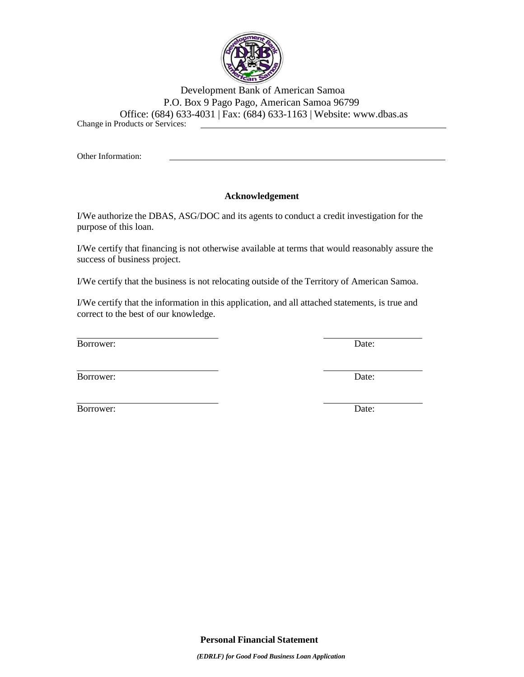

Other Information:

### **Acknowledgement**

I/We authorize the DBAS, ASG/DOC and its agents to conduct a credit investigation for the purpose of this loan.

I/We certify that financing is not otherwise available at terms that would reasonably assure the success of business project.

I/We certify that the business is not relocating outside of the Territory of American Samoa.

I/We certify that the information in this application, and all attached statements, is true and correct to the best of our knowledge.

Borrower: Date:

Borrower: Date:

Borrower: Date: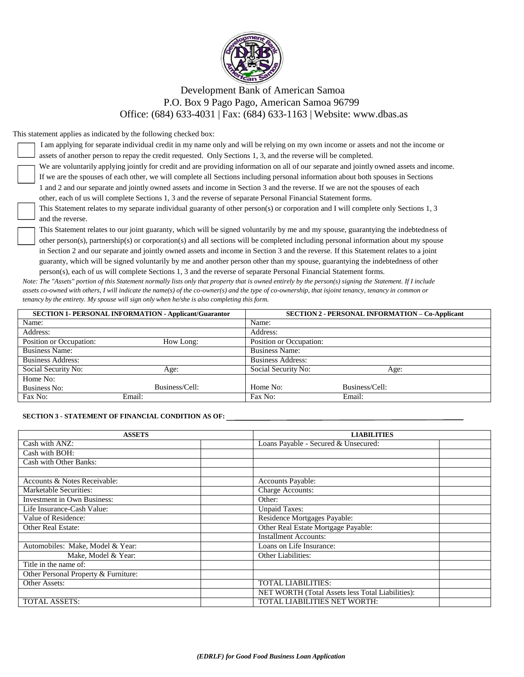

This statement applies as indicated by the following checked box:

| I am applying for separate individual credit in my name only and will be relying on my own income or assets and not the income or        |
|------------------------------------------------------------------------------------------------------------------------------------------|
| assets of another person to repay the credit requested. Only Sections 1, 3, and the reverse will be completed.                           |
| We are voluntarily applying jointly for credit and are providing information on all of our separate and jointly owned assets and income. |
| If we are the spouses of each other, we will complete all Sections including personal information about both spouses in Sections         |
| 1 and 2 and our separate and jointly owned assets and income in Section 3 and the reverse. If we are not the spouses of each             |
| other, each of us will complete Sections 1, 3 and the reverse of separate Personal Financial Statement forms.                            |
| This Statement relates to my separate individual guaranty of other person(s) or corporation and I will complete only Sections 1, 3       |

guaranty of other person(s) or corporation and I will and the reverse.

This Statement relates to our joint guaranty, which will be signed voluntarily by me and my spouse, guarantying the indebtedness of other person(s), partnership(s) or corporation(s) and all sections will be completed including personal information about my spouse in Section 2 and our separate and jointly owned assets and income in Section 3 and the reverse. If this Statement relates to a joint guaranty, which will be signed voluntarily by me and another person other than my spouse, guarantying the indebtedness of other person(s), each of us will complete Sections 1, 3 and the reverse of separate Personal Financial Statement forms.

*Note: The "Assets" portion of this Statement normally lists only that property that is owned entirely by the person(s) signing the Statement. If I include assets co-owned with others, I will indicate the name(s) of the co-owner(s) and the type of co-ownership, that isjoint tenancy, tenancy in common or tenancy by the entirety. My spouse will sign only when he/she is also completing this form.*

|                          | <b>SECTION 1- PERSONAL INFORMATION - Applicant/Guarantor</b> |                          | <b>SECTION 2 - PERSONAL INFORMATION - Co-Applicant</b> |
|--------------------------|--------------------------------------------------------------|--------------------------|--------------------------------------------------------|
| Name:                    |                                                              | Name:                    |                                                        |
| Address:                 |                                                              | Address:                 |                                                        |
| Position or Occupation:  | How Long:                                                    | Position or Occupation:  |                                                        |
| <b>Business Name:</b>    |                                                              | <b>Business Name:</b>    |                                                        |
| <b>Business Address:</b> |                                                              | <b>Business Address:</b> |                                                        |
| Social Security No:      | Age:                                                         | Social Security No:      | Age:                                                   |
| Home No:                 |                                                              |                          |                                                        |
| Business No:             | Business/Cell:                                               | Home No:                 | Business/Cell:                                         |
| Fax No:                  | Email:                                                       | Fax No:                  | Email:                                                 |

#### **SECTION 3 - STATEMENT OF FINANCIAL CONDITION AS OF:**

| <b>ASSETS</b>                        | <b>LIABILITIES</b>                               |  |  |  |
|--------------------------------------|--------------------------------------------------|--|--|--|
| Cash with ANZ:                       | Loans Payable - Secured & Unsecured:             |  |  |  |
| Cash with BOH:                       |                                                  |  |  |  |
| Cash with Other Banks:               |                                                  |  |  |  |
|                                      |                                                  |  |  |  |
| Accounts & Notes Receivable:         | Accounts Payable:                                |  |  |  |
| Marketable Securities:               | Charge Accounts:                                 |  |  |  |
| <b>Investment in Own Business:</b>   | Other:                                           |  |  |  |
| Life Insurance-Cash Value:           | <b>Unpaid Taxes:</b>                             |  |  |  |
| Value of Residence:                  | Residence Mortgages Payable:                     |  |  |  |
| <b>Other Real Estate:</b>            | Other Real Estate Mortgage Payable:              |  |  |  |
|                                      | <b>Installment Accounts:</b>                     |  |  |  |
| Automobiles: Make, Model & Year:     | Loans on Life Insurance:                         |  |  |  |
| Make, Model & Year:                  | <b>Other Liabilities:</b>                        |  |  |  |
| Title in the name of:                |                                                  |  |  |  |
| Other Personal Property & Furniture: |                                                  |  |  |  |
| Other Assets:                        | <b>TOTAL LIABILITIES:</b>                        |  |  |  |
|                                      | NET WORTH (Total Assets less Total Liabilities): |  |  |  |
| <b>TOTAL ASSETS:</b>                 | <b>TOTAL LIABILITIES NET WORTH:</b>              |  |  |  |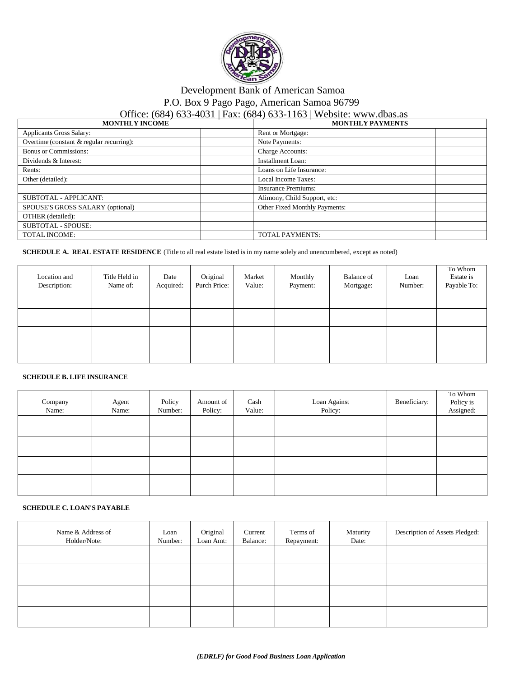

# Development Bank of American Samoa

P.O. Box 9 Pago Pago, American Samoa 96799

### Office: (684) 633-4031 | Fax: (684) 633-1163 | Website: www.dbas.as

| <b>MONTHLY INCOME</b>                    | <b>MONTHLY PAYMENTS</b>       |
|------------------------------------------|-------------------------------|
| <b>Applicants Gross Salary:</b>          | Rent or Mortgage:             |
| Overtime (constant & regular recurring): | Note Payments:                |
| <b>Bonus or Commissions:</b>             | Charge Accounts:              |
| Dividends & Interest:                    | Installment Loan:             |
| Rents:                                   | Loans on Life Insurance:      |
| Other (detailed):                        | Local Income Taxes:           |
|                                          | <b>Insurance Premiums:</b>    |
| SUBTOTAL - APPLICANT:                    | Alimony, Child Support, etc:  |
| SPOUSE'S GROSS SALARY (optional)         | Other Fixed Monthly Payments: |
| OTHER (detailed):                        |                               |
| <b>SUBTOTAL - SPOUSE:</b>                |                               |
| <b>TOTAL INCOME:</b>                     | <b>TOTAL PAYMENTS:</b>        |

### **SCHEDULE A. REAL ESTATE RESIDENCE** (Title to all real estate listed is in my name solely and unencumbered, except as noted)

| Location and<br>Description: | Title Held in<br>Name of: | Date<br>Acquired: | Original<br>Purch Price: | Market<br>Value: | Monthly<br>Payment: | Balance of<br>Mortgage: | Loan<br>Number: | To Whom<br>Estate is<br>Payable To: |
|------------------------------|---------------------------|-------------------|--------------------------|------------------|---------------------|-------------------------|-----------------|-------------------------------------|
|                              |                           |                   |                          |                  |                     |                         |                 |                                     |
|                              |                           |                   |                          |                  |                     |                         |                 |                                     |
|                              |                           |                   |                          |                  |                     |                         |                 |                                     |
|                              |                           |                   |                          |                  |                     |                         |                 |                                     |

### **SCHEDULE B. LIFE INSURANCE**

| Company<br>Name: | Agent<br>Name: | Policy<br>Number: | Amount of<br>Policy: | Cash<br>Value: | Loan Against<br>Policy: | Beneficiary: | To Whom<br>Policy is<br>Assigned: |
|------------------|----------------|-------------------|----------------------|----------------|-------------------------|--------------|-----------------------------------|
|                  |                |                   |                      |                |                         |              |                                   |
|                  |                |                   |                      |                |                         |              |                                   |
|                  |                |                   |                      |                |                         |              |                                   |
|                  |                |                   |                      |                |                         |              |                                   |

#### **SCHEDULE C. LOAN'S PAYABLE**

| Name & Address of<br>Holder/Note: | Loan<br>Number: | Original<br>Loan Amt: | Current<br>Balance: | Terms of<br>Repayment: | Maturity<br>Date: | Description of Assets Pledged: |
|-----------------------------------|-----------------|-----------------------|---------------------|------------------------|-------------------|--------------------------------|
|                                   |                 |                       |                     |                        |                   |                                |
|                                   |                 |                       |                     |                        |                   |                                |
|                                   |                 |                       |                     |                        |                   |                                |
|                                   |                 |                       |                     |                        |                   |                                |